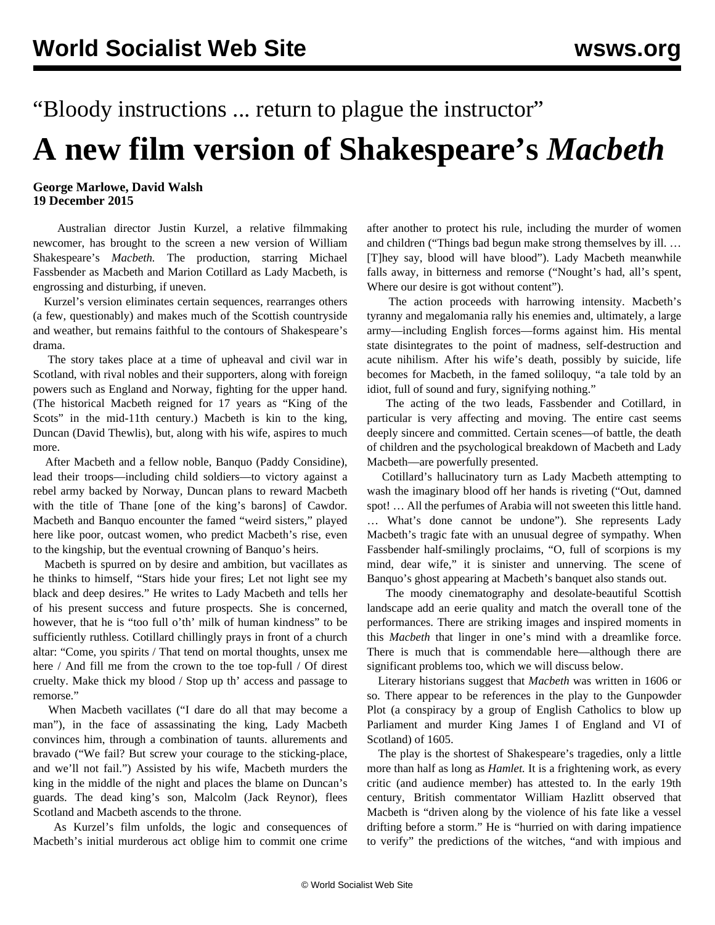## "Bloody instructions ... return to plague the instructor"

## **A new film version of Shakespeare's** *Macbeth*

**George Marlowe, David Walsh 19 December 2015**

 Australian director Justin Kurzel, a relative filmmaking newcomer, has brought to the screen a new version of William Shakespeare's *Macbeth.* The production, starring Michael Fassbender as Macbeth and Marion Cotillard as Lady Macbeth, is engrossing and disturbing, if uneven.

 Kurzel's version eliminates certain sequences, rearranges others (a few, questionably) and makes much of the Scottish countryside and weather, but remains faithful to the contours of Shakespeare's drama.

 The story takes place at a time of upheaval and civil war in Scotland, with rival nobles and their supporters, along with foreign powers such as England and Norway, fighting for the upper hand. (The historical Macbeth reigned for 17 years as "King of the Scots" in the mid-11th century.) Macbeth is kin to the king, Duncan (David Thewlis), but, along with his wife, aspires to much more.

 After Macbeth and a fellow noble, Banquo (Paddy Considine), lead their troops––including child soldiers––to victory against a rebel army backed by Norway, Duncan plans to reward Macbeth with the title of Thane [one of the king's barons] of Cawdor. Macbeth and Banquo encounter the famed "weird sisters," played here like poor, outcast women, who predict Macbeth's rise, even to the kingship, but the eventual crowning of Banquo's heirs.

 Macbeth is spurred on by desire and ambition, but vacillates as he thinks to himself, "Stars hide your fires; Let not light see my black and deep desires." He writes to Lady Macbeth and tells her of his present success and future prospects. She is concerned, however, that he is "too full o'th' milk of human kindness" to be sufficiently ruthless. Cotillard chillingly prays in front of a church altar: "Come, you spirits / That tend on mortal thoughts, unsex me here / And fill me from the crown to the toe top-full / Of direst cruelty. Make thick my blood / Stop up th' access and passage to remorse."

 When Macbeth vacillates ("I dare do all that may become a man"), in the face of assassinating the king, Lady Macbeth convinces him, through a combination of taunts. allurements and bravado ("We fail? But screw your courage to the sticking-place, and we'll not fail.") Assisted by his wife, Macbeth murders the king in the middle of the night and places the blame on Duncan's guards. The dead king's son, Malcolm (Jack Reynor), flees Scotland and Macbeth ascends to the throne.

 As Kurzel's film unfolds, the logic and consequences of Macbeth's initial murderous act oblige him to commit one crime

after another to protect his rule, including the murder of women and children ("Things bad begun make strong themselves by ill. … [T]hey say, blood will have blood"). Lady Macbeth meanwhile falls away, in bitterness and remorse ("Nought's had, all's spent, Where our desire is got without content").

 The action proceeds with harrowing intensity. Macbeth's tyranny and megalomania rally his enemies and, ultimately, a large army––including English forces––forms against him. His mental state disintegrates to the point of madness, self-destruction and acute nihilism. After his wife's death, possibly by suicide, life becomes for Macbeth, in the famed soliloquy, "a tale told by an idiot, full of sound and fury, signifying nothing."

 The acting of the two leads, Fassbender and Cotillard, in particular is very affecting and moving. The entire cast seems deeply sincere and committed. Certain scenes––of battle, the death of children and the psychological breakdown of Macbeth and Lady Macbeth––are powerfully presented.

 Cotillard's hallucinatory turn as Lady Macbeth attempting to wash the imaginary blood off her hands is riveting ("Out, damned spot! … All the perfumes of Arabia will not sweeten this little hand. … What's done cannot be undone"). She represents Lady Macbeth's tragic fate with an unusual degree of sympathy. When Fassbender half-smilingly proclaims, "O, full of scorpions is my mind, dear wife," it is sinister and unnerving. The scene of Banquo's ghost appearing at Macbeth's banquet also stands out.

 The moody cinematography and desolate-beautiful Scottish landscape add an eerie quality and match the overall tone of the performances. There are striking images and inspired moments in this *Macbeth* that linger in one's mind with a dreamlike force. There is much that is commendable here—although there are significant problems too, which we will discuss below.

 Literary historians suggest that *Macbeth* was written in 1606 or so. There appear to be references in the play to the Gunpowder Plot (a conspiracy by a group of English Catholics to blow up Parliament and murder King James I of England and VI of Scotland) of 1605.

 The play is the shortest of Shakespeare's tragedies, only a little more than half as long as *Hamlet.* It is a frightening work, as every critic (and audience member) has attested to. In the early 19th century, British commentator William Hazlitt observed that Macbeth is "driven along by the violence of his fate like a vessel drifting before a storm." He is "hurried on with daring impatience to verify" the predictions of the witches, "and with impious and